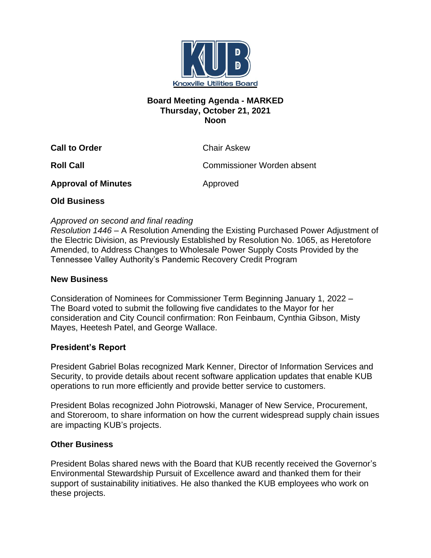

## **Board Meeting Agenda - MARKED Thursday, October 21, 2021 Noon**

**Call to Order** Chair Askew

**Roll Call** Commissioner Worden absent

**Approval of Minutes Approved** 

# **Old Business**

# *Approved on second and final reading*

*Resolution 1446* – A Resolution Amending the Existing Purchased Power Adjustment of the Electric Division, as Previously Established by Resolution No. 1065, as Heretofore Amended, to Address Changes to Wholesale Power Supply Costs Provided by the Tennessee Valley Authority's Pandemic Recovery Credit Program

## **New Business**

Consideration of Nominees for Commissioner Term Beginning January 1, 2022 – The Board voted to submit the following five candidates to the Mayor for her consideration and City Council confirmation: Ron Feinbaum, Cynthia Gibson, Misty Mayes, Heetesh Patel, and George Wallace.

## **President's Report**

President Gabriel Bolas recognized Mark Kenner, Director of Information Services and Security, to provide details about recent software application updates that enable KUB operations to run more efficiently and provide better service to customers.

President Bolas recognized John Piotrowski, Manager of New Service, Procurement, and Storeroom, to share information on how the current widespread supply chain issues are impacting KUB's projects.

# **Other Business**

President Bolas shared news with the Board that KUB recently received the Governor's Environmental Stewardship Pursuit of Excellence award and thanked them for their support of sustainability initiatives. He also thanked the KUB employees who work on these projects.